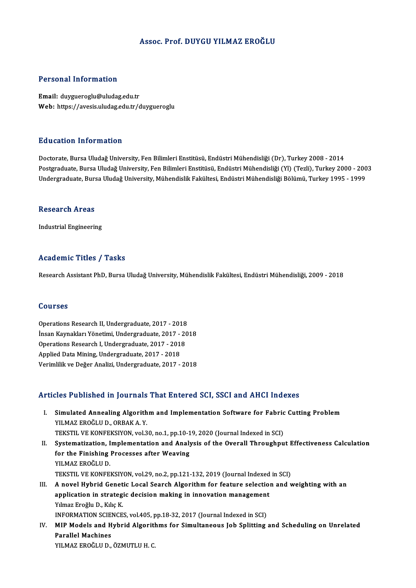### Assoc. Prof. DUYGU YILMAZ EROĞLU

#### Personal Information

Email: duygueroglu@uludag.edu.tr Web: https://avesis.uludag.edu.tr/duygueroglu

#### Education Information

Doctorate, Bursa Uludağ University, Fen Bilimleri Enstitüsü, Endüstri Mühendisliği (Dr), Turkey 2008 - 2014 Postgraduate, Bursa Uludağ University, Fen Bilimleri Enstitüsü, Endüstri Mühendisliği (Yl) (Tezli), Turkey 2000 - 2003 Undergraduate, Bursa Uludağ University, Mühendislik Fakültesi, Endüstri Mühendisliği Bölümü, Turkey 1995 - 1999

#### **Research Areas**

Industrial Engineering

#### Academic Titles / Tasks

Research Assistant PhD, Bursa Uludağ University, Mühendislik Fakültesi, Endüstri Mühendisliği, 2009 - 2018

#### Courses

Courses<br>Operations Research II, Undergraduate, 2017 - 2018<br>Insen Kaupaklan Vänetimi, Undergraduate, 2017 - 20 İnsan Kaynakları Yönetimi, Undergraduate, 2017 - 2018<br>Operations Research I, Undergraduate, 2017 - 2018 Operations Research II, Undergraduate, 2017 - 2018<br>İnsan Kaynakları Yönetimi, Undergraduate, 2017 - 20<br>Operations Research I, Undergraduate, 2017 - 2018<br>Applied Date Mining Undergraduate, 2017 - 2018 Applied Data Mining, Undergraduate, 2017 - 2018 VerimlilikveDeğerAnalizi,Undergraduate,2017 -2018

## Articles Published in Journals That Entered SCI, SSCI and AHCI Indexes

- rticles Published in Journals That Entered SCI, SSCI and AHCI Indexes<br>I. Simulated Annealing Algorithm and Implementation Software for Fabric Cutting Problem<br>VILMAZ EROČLU D. ORRAKA V YOU'T WOMONOW IN JOU'THING<br>Simulated Annealing Algorith<br>YILMAZ EROĞLU D., ORBAK A. Y.<br>TEKSTIL VE KONEEKSIVON YOL? Simulated Annealing Algorithm and Implementation Software for Fabric<br>YILMAZ EROĞLU D., ORBAK A. Y.<br>TEKSTIL VE KONFEKSIYON, vol.30, no.1, pp.10-19, 2020 (Journal Indexed in SCI)<br>Systematization, Implementation and Analysis IILMAZ EROĞLU D., ORBAK A. Y.<br>TEKSTIL VE KONFEKSIYON, vol.30, no.1, pp.10-19, 2020 (Journal Indexed in SCI)<br>II. Systematization, Implementation and Analysis of the Overall Throughput Effectiveness Calculation TEKSTIL VE KONFEKSIYON, vol.30, no.1, pp.10-1<br>Systematization, Implementation and Analy<br>for the Finishing Processes after Weaving<br>VII MAZ EROČLILD Systematization, I<br>for the Finishing<br>YILMAZ EROĞLU D.<br>TEKSTIL VE KONEE YILMAZ EROĞLU D.<br>TEKSTIL VE KONFEKSIYON, vol.29, no.2, pp.121-132, 2019 (Journal Indexed in SCI) YILMAZ EROĞLU D.<br>TEKSTIL VE KONFEKSIYON, vol.29, no.2, pp.121-132, 2019 (Journal Indexed in SCI)<br>III. A novel Hybrid Genetic Local Search Algorithm for feature selection and weighting with an<br>annisation in strategic de TEKSTIL VE KONFEKSIYON, vol.29, no.2, pp.121-132, 2019 (Journal Indexed<br>A novel Hybrid Genetic Local Search Algorithm for feature selectio:<br>application in strategic decision making in innovation management<br>Vilmes Freğlu D. **A novel Hybrid Genet<br>application in strateg**<br>Yılmaz Eroğlu D., Kılıç K.<br>INEOPMATION SCIENCE application in strategic decision making in innovation management<br>Yılmaz Eroğlu D., Kılıç K.<br>INFORMATION SCIENCES, vol.405, pp.18-32, 2017 (Journal Indexed in SCI)<br>MIR Medels and Hybrid Alsonithms for Simultaneous Job Spli Yılmaz Eroğlu D., Kılıç K.<br>INFORMATION SCIENCES, vol.405, pp.18-32, 2017 (Journal Indexed in SCI)<br>IV. MIP Models and Hybrid Algorithms for Simultaneous Job Splitting and Scheduling on Unrelated<br>Parallel Machines INFORMATION SCIENCES, vol.405, pp.18-32, 2017 (Journal Indexed in SCI)
- YILMAZ EROĞLU D., ÖZMUTLU H. C.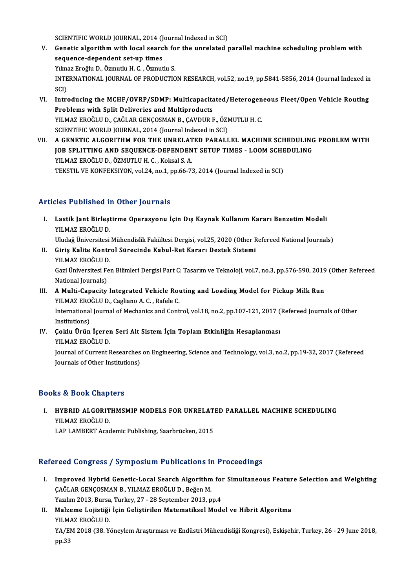SCIENTIFIC WORLD JOURNAL, 2014 (Journal Indexed in SCI)<br>Constis alsonithm with local search for the unrelated i

- V. Genetic algorithm with local search for the unrelated parallel machine scheduling problem with sequence-dependent set-up times SCIENTIFIC WORLD JOURNAL, 2014 (J)<br>Genetic algorithm with local searc<br>sequence-dependent set-up times Yılmaz Eroğlu D., Özmutlu H. C., Özmutlu S. sequence-dependent set-up times<br>Yılmaz Eroğlu D., Özmutlu H. C. , Özmutlu S.<br>INTERNATIONAL JOURNAL OF PRODUCTION RESEARCH, vol.52, no.19, pp.5841-5856, 2014 (Journal Indexed in<br>SCD Yılma<br>INTE<br>SCI)<br>Intre INTERNATIONAL JOURNAL OF PRODUCTION RESEARCH, vol.52, no.19, pp.5841-5856, 2014 (Journal Indexed in<br>SCI)<br>VI. Introducing the MCHF/OVRP/SDMP: Multicapacitated/Heterogeneous Fleet/Open Vehicle Routing<br>Problems with Split Del
- SCI)<br>Introducing the MCHF/OVRP/SDMP: Multicapacita<br>Problems with Split Deliveries and Multiproducts<br>YU MAZ EROČLU D. CAČLAR CENCOSMAN B. CAVDUR L Introducing the MCHF/OVRP/SDMP: Multicapacitated/Heterogen<br>Problems with Split Deliveries and Multiproducts<br>YILMAZ EROĞLU D., ÇAĞLAR GENÇOSMAN B., ÇAVDUR F., ÖZMUTLU H. C.<br>SCIENTIEIC WOBLD JOUPNAL 2014 (Journal Indoved in Problems with Split Deliveries and Multiproducts<br>YILMAZ EROĞLU D., ÇAĞLAR GENÇOSMAN B., ÇAVDUR F., ÖZMUTLU H. C.<br>SCIENTIFIC WORLD JOURNAL, 2014 (Journal Indexed in SCI) YILMAZ EROĞLU D., ÇAĞLAR GENÇOSMAN B., ÇAVDUR F., ÖZMUTLU H. C.<br>SCIENTIFIC WORLD JOURNAL, 2014 (Journal Indexed in SCI)<br>VII. — A GENETIC ALGORITHM FOR THE UNRELATED PARALLEL MACHINE SCHEDULING PROBLEM WITH
- SCIENTIFIC WORLD JOURNAL, 2014 (Journal Indexed in SCI)<br>A GENETIC ALGORITHM FOR THE UNRELATED PARALLEL MACHINE SCHEDULING<br>JOB SPLITTING AND SEQUENCE-DEPENDENT SETUP TIMES LOOM SCHEDULING<br>VILMAZ EROČLILD, ÖZMUTLU H.C., Ka A GENETIC ALGORITHM FOR THE UNRELAT<br>JOB SPLITTING AND SEQUENCE-DEPENDEN<br>YILMAZ EROĞLU D., ÖZMUTLU H. C. , Koksal S. A.<br>TEKSTIL VE KONEEKSIYON .vol 24. po 1. pp.66.73 JOB SPLITTING AND SEQUENCE-DEPENDENT SETUP TIMES - LOOM SCHEDULING<br>YILMAZ EROĞLU D., ÖZMUTLU H. C. , Koksal S. A.<br>TEKSTIL VE KONFEKSIYON, vol.24, no.1, pp.66-73, 2014 (Journal Indexed in SCI)

# Articles Published in Other Journals

- rticles Published in Other Journals<br>I. Lastik Jant Birleştirme Operasyonu İçin Dış Kaynak Kullanım Kararı Benzetim Modeli<br>XII MAZ EROĞLU D 1991 - ABHBACA<br>Lastik Jant Birleşt<br>YILMAZ EROĞLU D.<br>Uludağ Üniversitesi Lastik Jant Birleştirme Operasyonu İçin Dış Kaynak Kullanım Kararı Benzetim Modeli<br>YILMAZ EROĞLU D.<br>Uludağ Üniversitesi Mühendislik Fakültesi Dergisi, vol.25, 2020 (Other Refereed National Journals)<br>Ciris Kalite Kontrol Sü
- YILMAZ EROĞLU D.<br>Uludağ Üniversitesi Mühendislik Fakültesi Dergisi, vol.25, 2020 (Other R<br>II. Giriş Kalite Kontrol Sürecinde Kabul-Ret Kararı Destek Sistemi<br>YILMAZ EROĞLU D. Uludağ Üniversitesi<br>Giriş Kalite Kontr<br>YILMAZ EROĞLU D.<br>Cari Üniversitesi Fe Giriş Kalite Kontrol Sürecinde Kabul-Ret Kararı Destek Sistemi<br>YILMAZ EROĞLU D.<br>Gazi Üniversitesi Fen Bilimleri Dergisi Part C: Tasarım ve Teknoloji, vol.7, no.3, pp.576-590, 2019 (Other Refereed<br>National Journale) YILMAZ EROĞLU D<br>Gazi Üniversitesi Fe<br>National Journals)<br>A Multi Ganasitu Gazi Üniversitesi Fen Bilimleri Dergisi Part C: Tasarım ve Teknoloji, vol.7, no.3, pp.576-590, 2019<br>National Journals)<br>III. A Multi-Capacity Integrated Vehicle Routing and Loading Model for Pickup Milk Run<br>VII MAZ EROČLU D

# National Journals)<br>A Multi-Capacity Integrated Vehicle Rou<br>YILMAZ EROĞLU D., Cagliano A. C. , Rafele C.<br>International Journal of Mechanics and Cont III. A Multi-Capacity Integrated Vehicle Routing and Loading Model for Pickup Milk Run<br>YILMAZ EROĞLU D., Cagliano A. C. , Rafele C.<br>International Journal of Mechanics and Control, vol.18, no.2, pp.107-121, 2017 (Refereed J **YILMAZ ERO**<br>International<br>Institutions)<br>Coltly Union

International Journal of Mechanics and Control, vol.18, no.2, pp.107-121, 2017 (<br>IN. Coklu Ürün İçeren Seri Alt Sistem İçin Toplam Etkinliğin Hesaplanması<br>VII MAZ EROĞLU D Institutions)<br>Çoklu Ürün İçerer<br>YILMAZ EROĞLU D.<br>Journal of Current L Çoklu Ürün İçeren Seri Alt Sistem İçin Toplam Etkinliğin Hesaplanması<br>YILMAZ EROĞLU D.<br>Journal of Current Researches on Engineering, Science and Technology, vol.3, no.2, pp.19-32, 2017 (Refereed<br>Journals of Other Instituti YILMAZ EROĞLU D.<br>Journal of Current Researches<br>Journals of Other Institutions)

# Journals of Other Institutions)<br>Books & Book Chapters

OOks & Book Chapters<br>I. HYBRID ALGORITHMSMIP MODELS FOR UNRELATED PARALLEL MACHINE SCHEDULING<br>XILMAZ EROČLILD 19 & DOOR GRAP.<br>HYBRID ALGORIT<br>YILMAZ EROĞLU D.<br>LAB LAMBERT Accd YILMAZ EROĞLU D.<br>LAP LAMBERT Academic Publishing, Saarbrücken, 2015

# Refereed Congress / Symposium Publications in Proceedings

- efereed Congress / Symposium Publications in Proceedings<br>I. Improved Hybrid Genetic-Local Search Algorithm for Simultaneous Feature Selection and Weighting<br>CAČLAR CENCOSMAN B. VILMAZ EROČLILD, ROŽED M. roca dongross 7 by mpostam 1 astroacions 11<br>Improved Hybrid Genetic-Local Search Algorithm<br>ÇAĞLAR GENÇOSMAN B., YILMAZ EROĞLU D., Beğen M. Improved Hybrid Genetic-Local Search Algorithm for<br>ÇAĞLAR GENÇOSMAN B., YILMAZ EROĞLU D., Beğen M.<br>Yazılım 2013, Bursa, Turkey, 27 - 28 September 2013, pp.4<br>Malzeme Lejistiği İsin Celistinilen Matematikasl Mad
- ÇAĞLAR GENÇOSMAN B., YILMAZ EROĞLU D., Beğen M.<br>1974 Yazılım 2013, Bursa, Turkey, 27 28 September 2013, pp.4<br>II. Malzeme Lojistiği İçin Geliştirilen Matematiksel Model ve Hibrit Algoritma<br>1981-YILMAZ EROĞLU D. Yazılım 2013, Bursa<br><mark>Malzeme Lojistiği</mark><br>YILMAZ EROĞLU D.<br>YA*I*FM 2019 (29. V. Malzeme Lojistiği İçin Geliştirilen Matematiksel Model ve Hibrit Algoritma<br>YILMAZ EROĞLU D.<br>YA/EM 2018 (38. Yöneylem Araştırması ve Endüstri Mühendisliği Kongresi), Eskişehir, Turkey, 26 - 29 June 2018,<br>nn <sup>22</sup> YILM<br>YA/EI<br>pp.33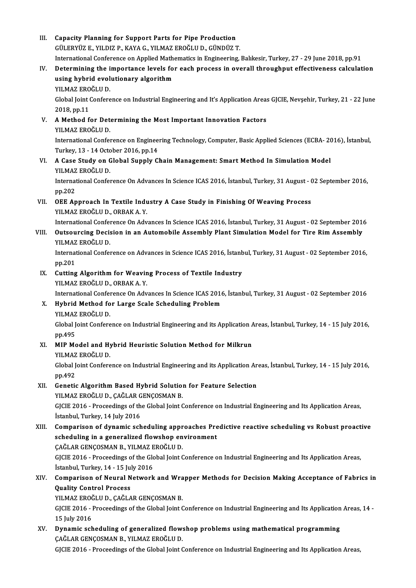III. Capacity Planning for Support Parts for Pipe Production<br>Cill Epyliz F, VII DIZ B, KAVA C, VII MAZ EPOČLIL D, CÜNDÜZ 7 Capacity Planning for Support Parts for Pipe Production<br>GÜLERYÜZ E., YILDIZ P., KAYA G., YILMAZ EROĞLU D., GÜNDÜZ T.<br>International Conference en Annlied Mathematics in Engineering. GÜLERYÜZ E., YILDIZ P., KAYA G., YILMAZ EROĞLU D., GÜNDÜZ T.<br>International Conference on Applied Mathematics in Engineering, Balıkesir, Turkey, 27 - 29 June 2018, pp.91 GÜLERYÜZ E., YILDIZ P., KAYA G., YILMAZ EROĞLU D., GÜNDÜZ T.<br>International Conference on Applied Mathematics in Engineering, Balıkesir, Turkey, 27 - 29 June 2018, pp.91<br>IV. Determining the importance levels for each proces International Conference on Applied Math<br>Determining the importance levels fo<br>using hybrid evolutionary algorithm<br>YU MAZ EROČLU D Determining the i<br>using hybrid evol<br>YILMAZ EROĞLU D.<br>Clabal leint Confere using hybrid evolutionary algorithm<br>YILMAZ EROĞLU D.<br>Global Joint Conference on Industrial Engineering and It's Application Areas GJCIE, Nevşehir, Turkey, 21 - 22 June<br>2018.np.11 YILMAZ ERO<br>Global Joint (2018, pp.11) Global Joint Conference on Industrial Engineering and It's Application Areas<br>2018, pp.11<br>V. A Method for Determining the Most Important Innovation Factors<br>VII MAZ EPOČLU D 2018, pp.11<br>A Method for Det<br>YILMAZ EROĞLU D.<br>International Cenfel A Method for Determining the Most Important Innovation Factors<br>YILMAZ EROĞLU D.<br>International Conference on Engineering Technology, Computer, Basic Applied Sciences (ECBA- 2016), İstanbul,<br>Turkay 12, 14 October 2016 nn 14. YILMAZ EROĞLU D.<br>International Conference on Enginee<br>Turkey, 13 - 14 October 2016, pp.14<br>A Case Study on Clobel Sunnly Cl International Conference on Engineering Technology, Computer, Basic Applied Sciences (ECBA- 20<br>Turkey, 13 - 14 October 2016, pp.14<br>VI. A Case Study on Global Supply Chain Management: Smart Method In Simulation Model<br>VII MA Turkey, 13 - 14 October 2016, pp.14<br>A Case Study on Global Supply Chain Management: Smart Method In Simulation Model<br>YILMAZ EROĞLU D. A Case Study on Global Supply Chain Management: Smart Method In Simulation Model<br>YILMAZ EROĞLU D.<br>International Conference On Advances In Science ICAS 2016, İstanbul, Turkey, 31 August - 02 September 2016,<br>nn 202 **YILMAZ**<br>Internat<br>pp.202 International Conference On Advances In Science ICAS 2016, İstanbul, Turkey, 31 August - (<br>pp.202<br>VII. OEE Approach In Textile Industry A Case Study in Finishing Of Weaving Process<br>VII MAZ EROČLU D. OPRAK A V pp.202<br>OEE Approach In Textile Indu<br>YILMAZ EROĞLU D., ORBAK A. Y.<br>International Conference On Adv OEE Approach In Textile Industry A Case Study in Finishing Of Weaving Process<br>YILMAZ EROĞLU D., ORBAK A. Y.<br>International Conference On Advances In Science ICAS 2016, İstanbul, Turkey, 31 August - 02 September 2016<br>Outgevr YILMAZ EROĞLU D., ORBAK A. Y.<br>International Conference On Advances In Science ICAS 2016, İstanbul, Turkey, 31 August - 02 September 2016<br>VIII. Outsourcing Decision in an Automobile Assembly Plant Simulation Model for T International Confer<br>Outsourcing Decis<br>YILMAZ EROĞLU D.<br>International Confer Outsourcing Decision in an Automobile Assembly Plant Simulation Model for Tire Rim Assembly<br>YILMAZ EROĞLU D.<br>International Conference on Advances in Science ICAS 2016, İstanbul, Turkey, 31 August - 02 September 2016,<br>nn <sup>2</sup> YILMAZ EROĞLU D.<br>International Conference on Advances in Science ICAS 2016, İstanbul, Turkey, 31 August - 02 September 2016,<br>pp.201 International Conference on Advances in Science ICAS 2016, İstanb<br>pp.201<br>IX. Cutting Algorithm for Weaving Process of Textile Industry<br>VII MAZ EROČLU D. OPRAKA Y pp.201<br>Cutting Algorithm for Weavin<br>YILMAZ EROĞLU D., ORBAK A. Y.<br>International Conference On Adv Cutting Algorithm for Weaving Process of Textile Industry<br>YILMAZ EROĞLU D., ORBAK A. Y.<br>International Conference On Advances In Science ICAS 2016, İstanbul, Turkey, 31 August - 02 September 2016<br>Hybrid Method for Large Sca YILMAZ EROĞLU D., ORBAK A. Y.<br>International Conference On Advances In Science ICAS 201<br>X. Hybrid Method for Large Scale Scheduling Problem<br>YILMAZ EROĞLU D. International Confer<br><mark>Hybrid Method fo</mark><br>YILMAZ EROĞLU D.<br>Clabal Jaint Confere Hybrid Method for Large Scale Scheduling Problem<br>YILMAZ EROĞLU D.<br>Global Joint Conference on Industrial Engineering and its Application Areas, İstanbul, Turkey, 14 - 15 July 2016,<br>nn 495 **YILMAZ<br>Global J<br>pp.495** Global Joint Conference on Industrial Engineering and its Application A<br>pp.495<br>XI. MIP Model and Hybrid Heuristic Solution Method for Milkrun<br>XII MAZ EPOČLU D pp.495<br>XI. MIP Model and Hybrid Heuristic Solution Method for Milkrun<br>YILMAZ EROĞLU D. MIP Model and Hybrid Heuristic Solution Method for Milkrun<br>YILMAZ EROĞLU D.<br>Global Joint Conference on Industrial Engineering and its Application Areas, İstanbul, Turkey, 14 - 15 July 2016,<br>nn 493 YILMAZ<br>Global J<br>pp.492<br>Canatis Global Joint Conference on Industrial Engineering and its Application Arpp.<br>492<br>XII. Genetic Algorithm Based Hybrid Solution for Feature Selection<br>XII. MAZEROČLUD CAČLAR GENGOSMAN B pp.492<br>Genetic Algorithm Based Hybrid Solution<br>YILMAZ EROĞLU D., ÇAĞLAR GENÇOSMAN B.<br>CICIE 2016 - Pressedings of the Clabel Joint C Genetic Algorithm Based Hybrid Solution for Feature Selection<br>YILMAZ EROĞLU D., ÇAĞLAR GENÇOSMAN B.<br>GJCIE 2016 - Proceedings of the Global Joint Conference on Industrial Engineering and Its Application Areas,<br>İstanbul Turk YILMAZ EROĞLU D., ÇAĞLAR G<br>GJCIE 2016 - Proceedings of th<br>İstanbul, Turkey, 14 July 2016<br>Comnarison of dunamis seh GJCIE 2016 - Proceedings of the Global Joint Conference on Industrial Engineering and Its Application Areas,<br>Istanbul, Turkey, 14 July 2016<br>XIII. Comparison of dynamic scheduling approaches Predictive reactive scheduling v İstanbul, Turkey, 14 July 2016<br>Comparison of dynamic scheduling approaches Pre<br>scheduling in a generalized flowshop environment<br>CAČLAR CENCOSMAN R. YU MAZ EROČLU D Comparison of dynamic scheduling appr<br>scheduling in a generalized flowshop en<br>ÇAĞLAR GENÇOSMAN B., YILMAZ EROĞLU D.<br>CICIE 2016 - Preceedings of the Clebel Joint C scheduling in a generalized flowshop environment<br>ÇAĞLAR GENÇOSMAN B., YILMAZ EROĞLU D.<br>GJCIE 2016 - Proceedings of the Global Joint Conference on Industrial Engineering and Its Application Areas, CAĞLAR GENÇOSMAN B., YILMAZ E<br>GJCIE 2016 - Proceedings of the Glo<br>İstanbul, Turkey, 14 - 15 July 2016<br>Comnarison of Nouval Notwork GJCIE 2016 - Proceedings of the Global Joint Conference on Industrial Engineering and Its Application Areas,<br>İstanbul, Turkey, 14 - 15 July 2016<br>XIV. Comparison of Neural Network and Wrapper Methods for Decision Making Acc İstanbul, Turkey, 14 - 15 July 2016<br>Comparison of Neural Network and Wra<br>Quality Control Process<br>YILMAZ EROĞLU D., ÇAĞLAR GENÇOSMAN B. Comparison of Neural Network and Wra<br>Quality Control Process<br>YILMAZ EROĞLU D., ÇAĞLAR GENÇOSMAN B.<br>CICIE 2016 - Proceedings of the Clabel Joint C Quality Control Process<br>YILMAZ EROĞLU D., ÇAĞLAR GENÇOSMAN B.<br>GJCIE 2016 - Proceedings of the Global Joint Conference on Industrial Engineering and Its Application Areas, 14 YILMAZ EROČ<br>GJCIE 2016 - 1<br>15 July 2016<br>Dunamia sek GJCIE 2016 - Proceedings of the Global Joint Conference on Industrial Engineering and Its Application<br>15 July 2016<br>XV. Dynamic scheduling of generalized flowshop problems using mathematical programming<br>CAČLAR CENCOSMAN P. 15 July 2016<br>XV. Dynamic scheduling of generalized flowshop problems using mathematical programming<br>CAĞLAR GENÇOSMAN B., YILMAZ EROĞLU D.

GJCIE 2016 - Proceedings of the Global Joint Conference on Industrial Engineering and Its Application Areas,